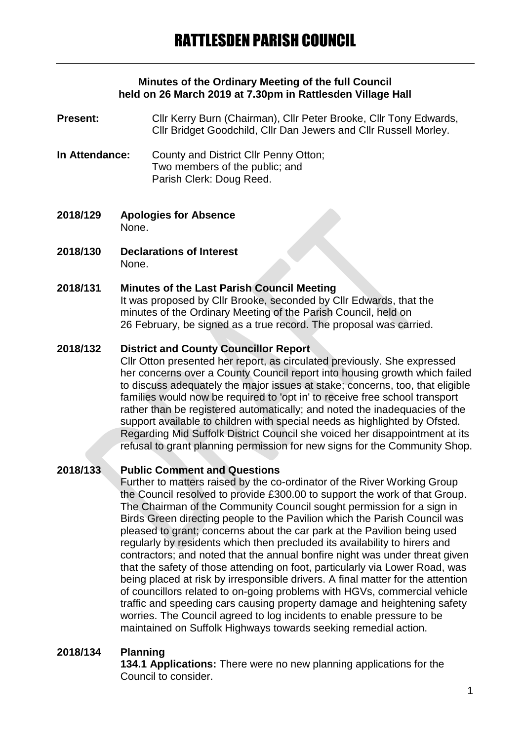#### **Minutes of the Ordinary Meeting of the full Council held on 26 March 2019 at 7.30pm in Rattlesden Village Hall**

- **Present:** Cllr Kerry Burn (Chairman), Cllr Peter Brooke, Cllr Tony Edwards, Cllr Bridget Goodchild, Cllr Dan Jewers and Cllr Russell Morley.
- **In Attendance:** County and District Cllr Penny Otton; Two members of the public; and Parish Clerk: Doug Reed.
- **2018/129 Apologies for Absence** None.
- **2018/130 Declarations of Interest** None.

#### **2018/131 Minutes of the Last Parish Council Meeting**

It was proposed by Cllr Brooke, seconded by Cllr Edwards, that the minutes of the Ordinary Meeting of the Parish Council, held on 26 February, be signed as a true record. The proposal was carried.

#### **2018/132 District and County Councillor Report**

Cllr Otton presented her report, as circulated previously. She expressed her concerns over a County Council report into housing growth which failed to discuss adequately the major issues at stake; concerns, too, that eligible families would now be required to 'opt in' to receive free school transport rather than be registered automatically; and noted the inadequacies of the support available to children with special needs as highlighted by Ofsted. Regarding Mid Suffolk District Council she voiced her disappointment at its refusal to grant planning permission for new signs for the Community Shop.

# **2018/133 Public Comment and Questions**

Further to matters raised by the co-ordinator of the River Working Group the Council resolved to provide £300.00 to support the work of that Group. The Chairman of the Community Council sought permission for a sign in Birds Green directing people to the Pavilion which the Parish Council was pleased to grant; concerns about the car park at the Pavilion being used regularly by residents which then precluded its availability to hirers and contractors; and noted that the annual bonfire night was under threat given that the safety of those attending on foot, particularly via Lower Road, was being placed at risk by irresponsible drivers. A final matter for the attention of councillors related to on-going problems with HGVs, commercial vehicle traffic and speeding cars causing property damage and heightening safety worries. The Council agreed to log incidents to enable pressure to be maintained on Suffolk Highways towards seeking remedial action.

### **2018/134 Planning**

**134.1 Applications:** There were no new planning applications for the Council to consider.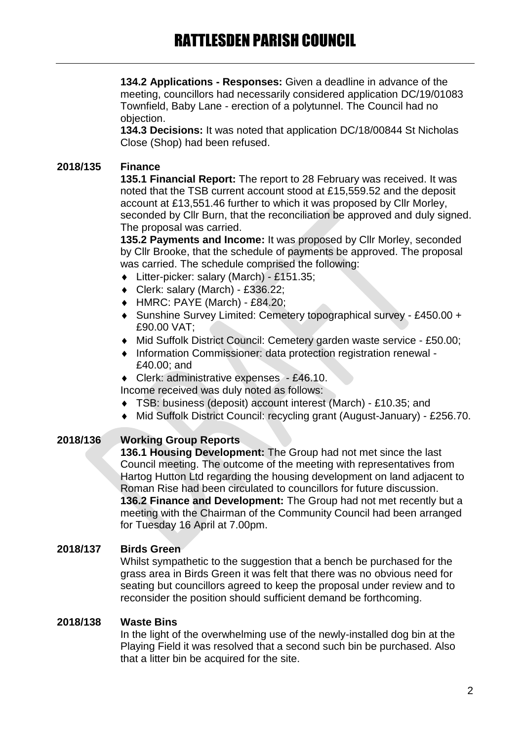**134.2 Applications - Responses:** Given a deadline in advance of the meeting, councillors had necessarily considered application DC/19/01083 Townfield, Baby Lane - erection of a polytunnel. The Council had no objection.

**134.3 Decisions:** It was noted that application DC/18/00844 St Nicholas Close (Shop) had been refused.

# **2018/135 Finance**

**135.1 Financial Report:** The report to 28 February was received. It was noted that the TSB current account stood at £15,559.52 and the deposit account at £13,551.46 further to which it was proposed by Cllr Morley, seconded by Cllr Burn, that the reconciliation be approved and duly signed. The proposal was carried.

**135.2 Payments and Income:** It was proposed by Cllr Morley, seconded by Cllr Brooke, that the schedule of payments be approved. The proposal was carried. The schedule comprised the following:

- Litter-picker: salary (March) £151.35;
- Clerk: salary (March) £336.22;
- HMRC: PAYE (March) £84.20;
- Sunshine Survey Limited: Cemetery topographical survey £450.00 + £90.00 VAT;
- Mid Suffolk District Council: Cemetery garden waste service £50.00;
- ◆ Information Commissioner: data protection registration renewal -£40.00; and
- ◆ Clerk: administrative expenses £46.10.

Income received was duly noted as follows:

- TSB: business (deposit) account interest (March) £10.35; and
- Mid Suffolk District Council: recycling grant (August-January) £256.70.

### **2018/136 Working Group Reports**

**136.1 Housing Development:** The Group had not met since the last Council meeting. The outcome of the meeting with representatives from Hartog Hutton Ltd regarding the housing development on land adjacent to Roman Rise had been circulated to councillors for future discussion. **136.2 Finance and Development:** The Group had not met recently but a meeting with the Chairman of the Community Council had been arranged for Tuesday 16 April at 7.00pm.

### **2018/137 Birds Green**

Whilst sympathetic to the suggestion that a bench be purchased for the grass area in Birds Green it was felt that there was no obvious need for seating but councillors agreed to keep the proposal under review and to reconsider the position should sufficient demand be forthcoming.

### **2018/138 Waste Bins**

In the light of the overwhelming use of the newly-installed dog bin at the Playing Field it was resolved that a second such bin be purchased. Also that a litter bin be acquired for the site.